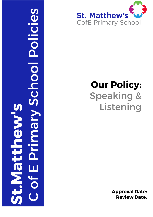



# **Our Policy: Speaking &** Listening

**Approval Date: Review Date:**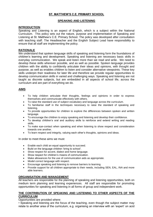# **ST. MATTHEW'S C.E. PRIMARY SCHOOL**

#### **SPEAKING AND LISTENING**

#### **INTRODUCTION**

Speaking and Listening is an aspect of English, which is a subject within the National Curriculum. This policy sets out the nature, purpose and implementation of Speaking and Listening at St. Matthew's C.E. Primary School. The policy was developed after consultation with teaching staff. The Headteacher and the English Subject Lead have responsibility to ensure that all staff are implementing the policy.

#### **RATIONALE**

We understand that spoken language skills of speaking and listening form the foundations of children's learning and development. Speaking and listening are necessary basic skills in everyday communication. We speak and listen more than we read and write. We need to develop these skills wherever possible, and as well as possible. Spoken language provides children with the ability to confidently articulate their ideas and opinions, with thought and purpose, as well as enables children to listen and consider alternative viewpoints. These key skills underpin their readiness for later life and therefore we provide regular opportunities to develop communication skills in varied and challenging ways. Speaking and listening are not taught as discrete subjects, but are embedded in all aspects of school life, across the curriculum and are part of everything we do.

#### **AIMS**

- To help children articulate their thoughts, feelings and opinions in order to express themselves and communicate effectively with others.
- To raise the standard use of subject vocabulary and language across the curriculum.
- To familiarise staff in the techniques necessary to raise the standard of speaking and listening.
- To provide opportunities for children to explore the differences between spoken and written language.
- To encourage the children to enjoy speaking and listening and develop their confidence.
- To develop children's oral and auditory skills to reinforce and extend writing and reading skills.
- To make eye-contact when speaking and when listening to show respect and consideration towards one another.
- To learn respect and integrity, valuing each other's thoughts, opinions and ideas.

In order to meet these aims we must:

- Enable each child an equal opportunity to succeed.
- Build on the language children 'bring to school'.
- Show respect for accent, dialect and home language.
- Show respect for children's means of communication.
- Make allowances for the use of communication aids as appropriate.
- Model correct language with respect.
- Encourage speaking and listening to remove barriers to learning.
- Provide support for all children appropriate to their needs, including SEN, EAL, INA and more able learners.

## **ORGANISATION AND MANAGEMENT**

All teachers are responsible for the planning of speaking and listening opportunities, both on medium term planning and learning experiences. All staff are responsible for promoting opportunities for speaking and listening in all forms of group and independent work.

#### **THE CONTRIBUTION OF SPEAKING AND LISTENING TO OTHER ASPECTS OF THE CURRICULUM**

#### Opportunities are provided where:

• Speaking and listening are the focus of the teaching, even though the subject matter may relate to another area of the curriculum, e.g. organising an interview with an 'expert' on acid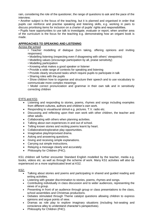rain, considering the role of the questioner, the range of questions to ask and the pace of the interview;

• Another subject is the focus of the teaching, but it is planned and organised in order that pupils can reinforce and practise speaking and listening skills, e.g. working in pairs to discuss prioritising items for inclusion on a charter of pupils' rights and responsibilities.

• Pupils have opportunities to use talk to investigate, evaluate or report, when another area of the curriculum is the focus for the teaching e.g. demonstrating how an origami book is made.

# **APPROACHES TO SPEAKING AND LISTENING**

Across the school

- Teacher modelling of dialogue (turn taking, offering opinions and inviting responses)
- Modelling listening (respecting even if disagreeing with others' viewpoints)
- Modelling values (encourage participation by all, praise sensitivity)
- Modelling participation
- Knowing what makes a good speaker or listener
- Provide a wide range of contexts for speaking and listening
- Provide clearly structured tasks which require pupils to participate in talk
- Sharing roles with the pupils

• Show children how to organise and structure their speech and to use vocabulary to communicate more complex meanings

• Model correct pronunciation and grammar in their own talk and in sensitively correcting children

#### EYFS and KS1

- Listening and responding to stories, poems, rhymes and songs including examples from different cultures, authors and children's own work.
- Responding to visual/aural stimuli e.g. pictures. T.V. radio etc.
- Discussing and reflecting upon their own work with other children, the teacher and other adults.
- Collaborating with others when planning activities.
- Talking about own experiences in and out of school.
- Telling known stories and reciting poems learnt by heart.
- Collaborative/explorative play opportunities.
- Imaginative play/improvised drama.
- Asking and answering questions.
- Giving and receiving simple explanations.
- Carrying out simple instructions.
- Relaying a message clearly and accurately.
- Philosophy for Children (P4C).

KS1 children will further encounter Standard English modelled by the teacher, media e.g. books, videos etc. as well as through the scheme of work. Many KS1 activities will also be experienced on a more sophisticated level at KS2.

## KS2:

- Talking about stories and poems and participating in shared and guided reading and writing activities.
- Listening with greater discrimination to stories, poems, rhymes and songs.
- Contributing individually in class discussion and to wider audiences, representing the views of a group.
- Presenting in front of an audience through group or class presentations to the class, school assemblies and Christmas productions.
- Debates stimulated through Theme catalyst questions allowing children to express opinions and argue points of view.
- Dramas as role play to explore imaginary situations (including hot-seating and conscience alley to understand character's perspectives).
- Philosophy for Children (P4C).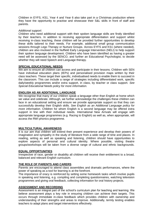Children in EYFS, KS1, Year 4 and Year 6 also take part in a Christmas production where they have the opportunity to practise and showcase their S&L skills in front of staff and parents.

#### *Additional support:*

Children who need additional support with their spoken language skills are firstly identified by their teachers. In addition to receiving appropriate differentiation and support whilst receiving in-class teaching, these children will be provided further opportunities to develop these skills tailored to their needs. For example, additional small group communication sessions through Lego Therapy or Nurture Groups. Across EYFS and KS1 (where needed), children are also involved in the Nuffield Early Language Intervention (NELI) to help support their spoken language development. Children who have been identified as having a greater need will be assessed by the SENCO, and further an Educational Psychologist, to decide whether they will need Speech and Language therapy.

# **SPECIAL EDUCATIONAL NEEDS**

We aim to ensure all children can access and participate in their lessons. Children with SEN have individual education plans (IEPs) and personalised provision maps written by their class teachers. These target their specific, individualised needs to enable them to succeed in the classroom. This can include a range of strategies including differentiated work, specific daily/weekly programmes and/or extra support, in class, by teacher or class support. *See Special Educational Needs policy for more information.*

## **ENGLISH AS AN ADDITIONAL LANGUAGE**

We recognise that many of our children speak a language other than English at home which we value and celebrate. Although, we further acknowledge the challenges these children can face in an educational setting and ensure we provide appropriate support so that they can successfully develop their English skills. *See English as an Additional Language policy for more information.* Children for whom English is a second language may be offered extra support in line with their individual needs. International New Arrivals will engage with appropriate language programmes (e.g. Racing to English) as well as, when appropriate, will access the RWI phonics programme.

## **MULTICULTURAL AWARENESS**

It is our aim that children will extend their present experience and develop their powers of imagination and sympathy in the study of literature from a wide range of time and places. In reading, writing as well as speaking and listening, children should have opportunities to explore aspects of personal and cultural identity. Where possible, visiting theatre groups/workshops will be taken from a diverse range of cultural and ethnic backgrounds.

## **EQUAL OPPORTUNITIES**

Irrespective of race, gender or disability all children will receive their entitlement to a broad, balanced and relevant English curriculum.

## **THE ROLE OF PARENTS AND CARERS**

Parents are encouraged to attend class assemblies and dramatic performances, where the power of speaking as a tool for learning is at the forefront.

The importance of oracy is reinforced by setting some homework tasks which involve pupils in speaking and listening, e.g. compiling and completing questionnaires, watching television programmes and giving oral feedback, collecting information for oral history projects.

## **ASSESSMENT AND RECORDING**

Assessment is an integral part of the school's curriculum plan for teaching and learning. We believe assessment plays a key role in ensuring children can achieve their targets. This occurs through immediate in-class feedback which provides children with ownership and understanding of their strengths and areas to improve. Additionally, termly testing enables teachers to adapt plans and target interventions effectively.